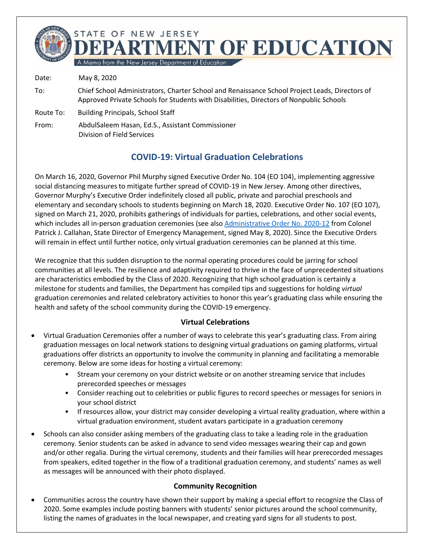

Date: May 8, 2020

- To: Chief School Administrators, Charter School and Renaissance School Project Leads, Directors of Approved Private Schools for Students with Disabilities, Directors of Nonpublic Schools
- Route To: Building Principals, School Staff
- From: AbdulSaleem Hasan, Ed.S., Assistant Commissioner Division of Field Services

## **COVID-19: Virtual Graduation Celebrations**

On March 16, 2020, Governor Phil Murphy signed Executive Order No. 104 (EO 104), implementing aggressive social distancing measures to mitigate further spread of COVID-19 in New Jersey. Among other directives, Governor Murphy's Executive Order indefinitely closed all public, private and parochial preschools and elementary and secondary schools to students beginning on March 18, 2020. Executive Order No. 107 (EO 107), signed on March 21, 2020, prohibits gatherings of individuals for parties, celebrations, and other social events, which includes all in-person graduation ceremonies (see also Administrative Order No. 2020-12 from Colonel Patrick J. Callahan, State Director of Emergency Management, signed May 8, 2020). Since the Executive Orders will remain in effect until further notice, only virtual graduation ceremonies can be planned at this time.

We recognize that this sudden disruption to the normal operating procedures could be jarring for school communities at all levels. The resilience and adaptivity required to thrive in the face of unprecedented situations are characteristics embodied by the Class of 2020. Recognizing that high school graduation is certainly a milestone for students and families, the Department has compiled tips and suggestions for holding *virtual* graduation ceremonies and related celebratory activities to honor this year's graduating class while ensuring the health and safety of the school community during the COVID-19 emergency.

## **Virtual Celebrations**

- Virtual Graduation Ceremonies offer a number of ways to celebrate this year's graduating class. From airing graduation messages on local network stations to designing virtual graduations on gaming platforms, virtual graduations offer districts an opportunity to involve the community in planning and facilitating a memorable ceremony. Below are some ideas for hosting a virtual ceremony:
	- Stream your ceremony on your district website or on another streaming service that includes prerecorded speeches or messages
	- Consider reaching out to celebrities or public figures to record speeches or messages for seniors in your school district
	- If resources allow, your district may consider developing a virtual reality graduation, where within a virtual graduation environment, student avatars participate in a graduation ceremony
- Schools can also consider asking members of the graduating class to take a leading role in the graduation ceremony. Senior students can be asked in advance to send video messages wearing their cap and gown and/or other regalia. During the virtual ceremony, students and their families will hear prerecorded messages from speakers, edited together in the flow of a traditional graduation ceremony, and students' names as well as messages will be announced with their photo displayed.

## **Community Recognition**

• Communities across the country have shown their support by making a special effort to recognize the Class of 2020. Some examples include posting banners with students' senior pictures around the school community, listing the names of graduates in the local newspaper, and creating yard signs for all students to post.